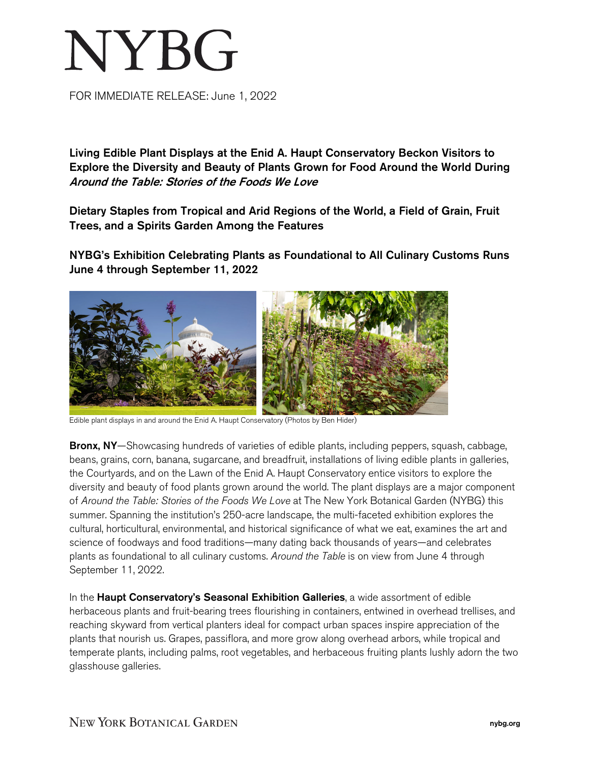## **NYBG**

FOR IMMEDIATE RELEASE: June 1, 2022

Living Edible Plant Displays at the Enid A. Haupt Conservatory Beckon Visitors to Explore the Diversity and Beauty of Plants Grown for Food Around the World During Around the Table: Stories of the Foods We Love

Dietary Staples from Tropical and Arid Regions of the World, a Field of Grain, Fruit Trees, and a Spirits Garden Among the Features

NYBG's Exhibition Celebrating Plants as Foundational to All Culinary Customs Runs June 4 through September 11, 2022



Edible plant displays in and around the Enid A. Haupt Conservatory (Photos by Ben Hider)

Bronx, NY—Showcasing hundreds of varieties of edible plants, including peppers, squash, cabbage, beans, grains, corn, banana, sugarcane, and breadfruit, installations of living edible plants in galleries, the Courtyards, and on the Lawn of the Enid A. Haupt Conservatory entice visitors to explore the diversity and beauty of food plants grown around the world. The plant displays are a major component of *Around the Table: Stories of the Foods We Love* at The New York Botanical Garden (NYBG) this summer. Spanning the institution's 250-acre landscape, the multi-faceted exhibition explores the cultural, horticultural, environmental, and historical significance of what we eat, examines the art and science of foodways and food traditions—many dating back thousands of years—and celebrates plants as foundational to all culinary customs. *Around the Table* is on view from June 4 through September 11, 2022.

In the Haupt Conservatory's Seasonal Exhibition Galleries, a wide assortment of edible herbaceous plants and fruit-bearing trees flourishing in containers, entwined in overhead trellises, and reaching skyward from vertical planters ideal for compact urban spaces inspire appreciation of the plants that nourish us. Grapes, passiflora, and more grow along overhead arbors, while tropical and temperate plants, including palms, root vegetables, and herbaceous fruiting plants lushly adorn the two glasshouse galleries.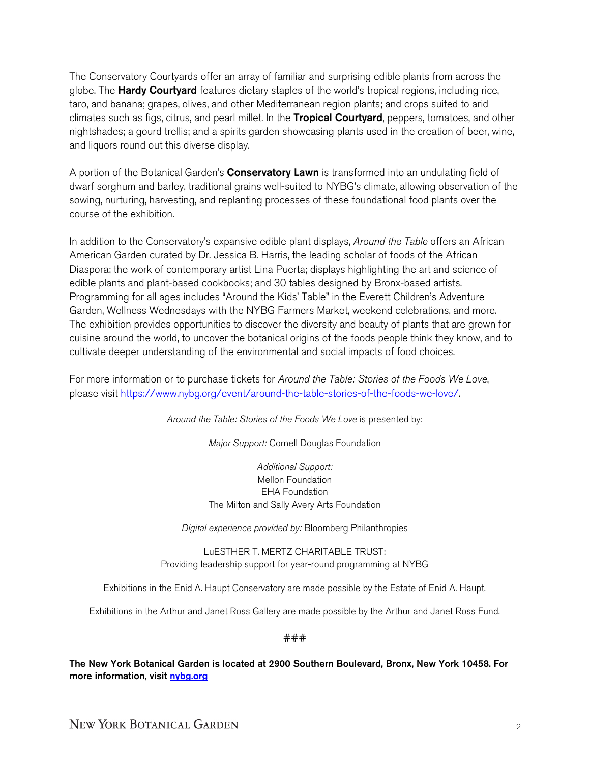The Conservatory Courtyards offer an array of familiar and surprising edible plants from across the globe. The Hardy Courtyard features dietary staples of the world's tropical regions, including rice, taro, and banana; grapes, olives, and other Mediterranean region plants; and crops suited to arid climates such as figs, citrus, and pearl millet. In the **Tropical Courtyard**, peppers, tomatoes, and other nightshades; a gourd trellis; and a spirits garden showcasing plants used in the creation of beer, wine, and liquors round out this diverse display.

A portion of the Botanical Garden's **Conservatory Lawn** is transformed into an undulating field of dwarf sorghum and barley, traditional grains well-suited to NYBG's climate, allowing observation of the sowing, nurturing, harvesting, and replanting processes of these foundational food plants over the course of the exhibition.

In addition to the Conservatory's expansive edible plant displays, *Around the Table* offers an African American Garden curated by Dr. Jessica B. Harris, the leading scholar of foods of the African Diaspora; the work of contemporary artist Lina Puerta; displays highlighting the art and science of edible plants and plant-based cookbooks; and 30 tables designed by Bronx-based artists. Programming for all ages includes "Around the Kids' Table" in the Everett Children's Adventure Garden, Wellness Wednesdays with the NYBG Farmers Market, weekend celebrations, and more. The exhibition provides opportunities to discover the diversity and beauty of plants that are grown for cuisine around the world, to uncover the botanical origins of the foods people think they know, and to cultivate deeper understanding of the environmental and social impacts of food choices.

For more information or to purchase tickets for *Around the Table: Stories of the Foods We Love*, please visit [https://www.nybg.org/event/around-the-table-stories-of-the-foods-we-love/.](https://www.nybg.org/event/around-the-table-stories-of-the-foods-we-love/)

Around the Table: Stories of the Foods We Love is presented by:

*Major Support:* Cornell Douglas Foundation

*Additional Support:* Mellon Foundation EHA Foundation The Milton and Sally Avery Arts Foundation

*Digital experience provided by:* Bloomberg Philanthropies

LuESTHER T. MERTZ CHARITABLE TRUST: Providing leadership support for year-round programming at NYBG

Exhibitions in the Enid A. Haupt Conservatory are made possible by the Estate of Enid A. Haupt.

Exhibitions in the Arthur and Janet Ross Gallery are made possible by the Arthur and Janet Ross Fund.

###

The New York Botanical Garden is located at 2900 Southern Boulevard, Bronx, New York 10458. For more information, visit [nybg.org](https://www.nybg.org/)